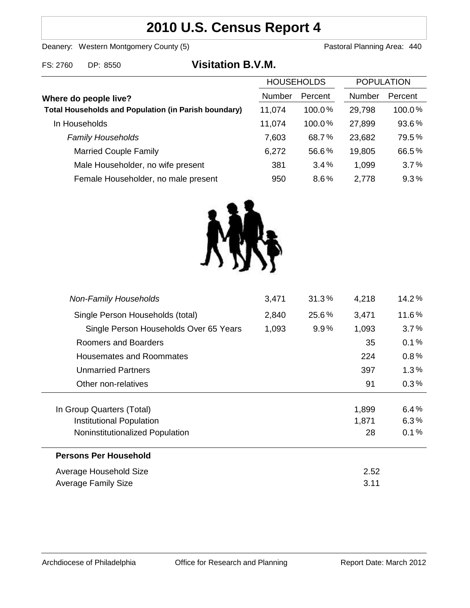# **2010 U.S. Census Report 4**

Deanery: Western Montgomery County (5) County (5) Pastoral Planning Area: 440

| FS: 2760 | DP: 8550 | <b>Visitation B.V.M.</b> |
|----------|----------|--------------------------|
|          |          |                          |

|                                                             | <b>HOUSEHOLDS</b> |         | <b>POPULATION</b> |         |
|-------------------------------------------------------------|-------------------|---------|-------------------|---------|
| Where do people live?                                       | Number            | Percent | Number            | Percent |
| <b>Total Households and Population (in Parish boundary)</b> | 11,074            | 100.0%  | 29,798            | 100.0%  |
| In Households                                               | 11,074            | 100.0%  | 27,899            | 93.6%   |
| <b>Family Households</b>                                    | 7,603             | 68.7%   | 23,682            | 79.5%   |
| <b>Married Couple Family</b>                                | 6,272             | 56.6%   | 19,805            | 66.5%   |
| Male Householder, no wife present                           | 381               | 3.4%    | 1,099             | 3.7%    |
| Female Householder, no male present                         | 950               | 8.6%    | 2,778             | 9.3%    |



| <b>Non-Family Households</b>           | 3,471 | 31.3%   | 4,218 | 14.2%   |
|----------------------------------------|-------|---------|-------|---------|
| Single Person Households (total)       | 2,840 | 25.6%   | 3,471 | 11.6%   |
| Single Person Households Over 65 Years | 1,093 | $9.9\%$ | 1,093 | $3.7\%$ |
| Roomers and Boarders                   |       |         | 35    | 0.1%    |
| <b>Housemates and Roommates</b>        |       |         | 224   | 0.8%    |
| <b>Unmarried Partners</b>              |       |         | 397   | 1.3%    |
| Other non-relatives                    |       |         | 91    | $0.3\%$ |
|                                        |       |         |       |         |
| In Group Quarters (Total)              |       |         | 1,899 | 6.4%    |
| Institutional Population               |       |         | 1,871 | 6.3%    |
| Noninstitutionalized Population        |       |         | 28    | 0.1%    |
| <b>Persons Per Household</b>           |       |         |       |         |
| Average Household Size                 |       |         | 2.52  |         |
| Average Family Size                    |       |         | 3.11  |         |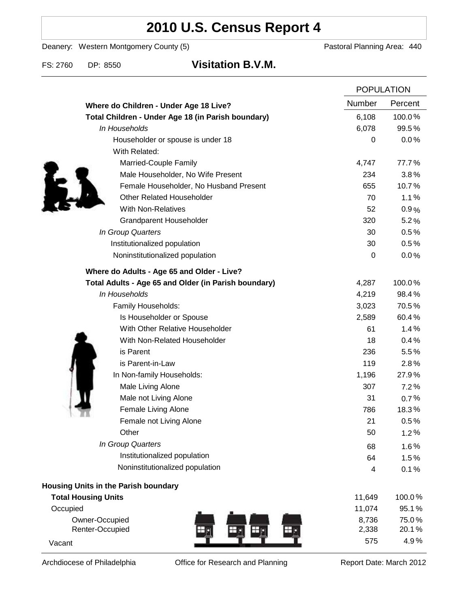# **2010 U.S. Census Report 4**

Deanery: Western Montgomery County (5) Deanery: Western Montgomery County (5)

FS: 2760 DP: 8550 **Visitation B.V.M.**

|                                                      |                  | <b>POPULATION</b> |  |
|------------------------------------------------------|------------------|-------------------|--|
| Where do Children - Under Age 18 Live?               | <b>Number</b>    | Percent           |  |
| Total Children - Under Age 18 (in Parish boundary)   | 6,108            | 100.0%            |  |
| In Households                                        | 6,078            | 99.5%             |  |
| Householder or spouse is under 18                    | $\boldsymbol{0}$ | 0.0%              |  |
| With Related:                                        |                  |                   |  |
| Married-Couple Family                                | 4,747            | 77.7%             |  |
| Male Householder, No Wife Present                    | 234              | 3.8%              |  |
| Female Householder, No Husband Present               | 655              | 10.7%             |  |
| <b>Other Related Householder</b>                     | 70               | 1.1%              |  |
| <b>With Non-Relatives</b>                            | 52               | 0.9%              |  |
| Grandparent Householder                              | 320              | 5.2%              |  |
| In Group Quarters                                    | 30               | 0.5%              |  |
| Institutionalized population                         | 30               | 0.5%              |  |
| Noninstitutionalized population                      | $\boldsymbol{0}$ | 0.0%              |  |
| Where do Adults - Age 65 and Older - Live?           |                  |                   |  |
| Total Adults - Age 65 and Older (in Parish boundary) | 4,287            | 100.0%            |  |
| In Households                                        | 4,219            | 98.4%             |  |
| Family Households:                                   | 3,023            | 70.5%             |  |
| Is Householder or Spouse                             | 2,589            | 60.4%             |  |
| With Other Relative Householder                      | 61               | 1.4%              |  |
| With Non-Related Householder                         | 18               | 0.4%              |  |
| is Parent                                            | 236              | 5.5%              |  |
| is Parent-in-Law                                     | 119              | 2.8%              |  |
| In Non-family Households:                            | 1,196            | 27.9%             |  |
| Male Living Alone                                    | 307              | 7.2%              |  |
| Male not Living Alone                                | 31               | 0.7%              |  |
| Female Living Alone                                  | 786              | 18.3%             |  |
| Female not Living Alone                              | 21               | 0.5%              |  |
| Other                                                | 50               | 1.2%              |  |
| In Group Quarters                                    | 68               | 1.6%              |  |
| Institutionalized population                         | 64               | 1.5%              |  |
| Noninstitutionalized population                      | 4                | 0.1%              |  |
| Housing Units in the Parish boundary                 |                  |                   |  |
| <b>Total Housing Units</b>                           | 11,649           | 100.0%            |  |
| Occupied                                             | 11,074           | 95.1%             |  |
| Owner-Occupied                                       | 8,736            | 75.0%             |  |
| Renter-Occupied                                      | 2,338            | 20.1%             |  |
| Vacant                                               | 575              | 4.9%              |  |

Archdiocese of Philadelphia **Office for Research and Planning** Report Date: March 2012